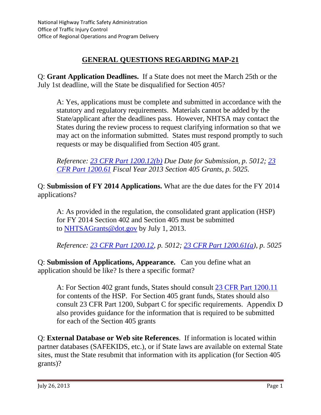# **GENERAL QUESTIONS REGARDING MAP-21**

Q: **Grant Application Deadlines.** If a State does not meet the March 25th or the July 1st deadline, will the State be disqualified for Section 405?

A: Yes, applications must be complete and submitted in accordance with the statutory and regulatory requirements. Materials cannot be added by the State/applicant after the deadlines pass. However, NHTSA may contact the States during the review process to request clarifying information so that we may act on the information submitted. States must respond promptly to such requests or may be disqualified from Section 405 grant.

*Reference: [23 CFR Part 1200.12\(b\)](http://www.ecfr.gov/cgi-bin/text-idx?c=ecfr&rgn=div5&view=text&node=23:1.0.2.13.1&idno=23#23:1.0.2.13.1.2.1.3) Due Date for Submission, p. 5012; [23](http://www.ecfr.gov/cgi-bin/text-idx?c=ecfr&rgn=div5&view=text&node=23:1.0.2.13.1&idno=23#23:1.0.2.13.1.7.1.2)  [CFR Part 1200.61](http://www.ecfr.gov/cgi-bin/text-idx?c=ecfr&rgn=div5&view=text&node=23:1.0.2.13.1&idno=23#23:1.0.2.13.1.7.1.2) Fiscal Year 2013 Section 405 Grants, p. 5025.*

Q: **Submission of FY 2014 Applications.** What are the due dates for the FY 2014 applications?

A: As provided in the regulation, the consolidated grant application (HSP) for FY 2014 Section 402 and Section 405 must be submitted to [NHTSAGrants@dot.gov](mailto:NHTSAGrants@dot.gov) by July 1, 2013.

*Reference: [23 CFR Part 1200.12,](http://www.ecfr.gov/cgi-bin/text-idx?c=ecfr&rgn=div5&view=text&node=23:1.0.2.13.1&idno=23#23:1.0.2.13.1.2.1.3) p. 5012; [23 CFR Part 1200.61\(](http://www.ecfr.gov/cgi-bin/text-idx?c=ecfr&rgn=div5&view=text&node=23:1.0.2.13.1&idno=23#23:1.0.2.13.1.7.1.2)a), p. 5025*

Q: **Submission of Applications, Appearance.** Can you define what an application should be like? Is there a specific format?

A: For Section 402 grant funds, States should consult [23 CFR](http://www.ecfr.gov/cgi-bin/text-idx?c=ecfr&rgn=div5&view=text&node=23:1.0.2.13.1&idno=23#23:1.0.2.13.1.2.1.2) Part 1200.11 for contents of the HSP. For Section 405 grant funds, States should also consult 23 CFR Part 1200, Subpart C for specific requirements. Appendix D also provides guidance for the information that is required to be submitted for each of the Section 405 grants

Q: **External Database or Web site References**. If information is located within partner databases (SAFEKIDS, etc.), or if State laws are available on external State sites, must the State resubmit that information with its application (for Section 405 grants)?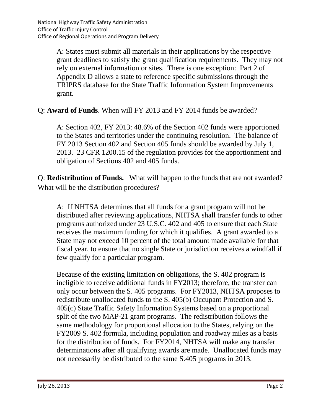A: States must submit all materials in their applications by the respective grant deadlines to satisfy the grant qualification requirements. They may not rely on external information or sites. There is one exception: Part 2 of Appendix D allows a state to reference specific submissions through the TRIPRS database for the State Traffic Information System Improvements grant.

Q: **Award of Funds**. When will FY 2013 and FY 2014 funds be awarded?

A: Section 402, FY 2013: 48.6% of the Section 402 funds were apportioned to the States and territories under the continuing resolution. The balance of FY 2013 Section 402 and Section 405 funds should be awarded by July 1, 2013. 23 CFR 1200.15 of the regulation provides for the apportionment and obligation of Sections 402 and 405 funds.

Q: **Redistribution of Funds.** What will happen to the funds that are not awarded? What will be the distribution procedures?

A: If NHTSA determines that all funds for a grant program will not be distributed after reviewing applications, NHTSA shall transfer funds to other programs authorized under 23 U.S.C. 402 and 405 to ensure that each State receives the maximum funding for which it qualifies. A grant awarded to a State may not exceed 10 percent of the total amount made available for that fiscal year, to ensure that no single State or jurisdiction receives a windfall if few qualify for a particular program.

Because of the existing limitation on obligations, the S. 402 program is ineligible to receive additional funds in FY2013; therefore, the transfer can only occur between the S. 405 programs. For FY2013, NHTSA proposes to redistribute unallocated funds to the S. 405(b) Occupant Protection and S. 405(c) State Traffic Safety Information Systems based on a proportional split of the two MAP-21 grant programs. The redistribution follows the same methodology for proportional allocation to the States, relying on the FY2009 S. 402 formula, including population and roadway miles as a basis for the distribution of funds. For FY2014, NHTSA will make any transfer determinations after all qualifying awards are made. Unallocated funds may not necessarily be distributed to the same S.405 programs in 2013.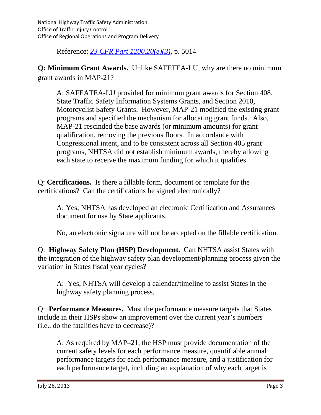National Highway Traffic Safety Administration Office of Traffic Injury Control Office of Regional Operations and Program Delivery

Reference: *23 [CFR Part 1200.20\(e\)\(3\),](http://www.ecfr.gov/cgi-bin/text-idx?c=ecfr&rgn=div5&view=text&node=23:1.0.2.13.1&idno=23#23:1.0.2.13.1.3.1.1)* p. 5014

**Q: Minimum Grant Awards.** Unlike SAFETEA-LU, why are there no minimum grant awards in MAP-21?

A: SAFEATEA-LU provided for minimum grant awards for Section 408, State Traffic Safety Information Systems Grants, and Section 2010, Motorcyclist Safety Grants. However, MAP-21 modified the existing grant programs and specified the mechanism for allocating grant funds. Also, MAP-21 rescinded the base awards (or minimum amounts) for grant qualification, removing the previous floors. In accordance with Congressional intent, and to be consistent across all Section 405 grant programs, NHTSA did not establish minimum awards, thereby allowing each state to receive the maximum funding for which it qualifies.

Q: **Certifications.** Is there a fillable form, document or template for the certifications? Can the certifications be signed electronically?

A: Yes, NHTSA has developed an electronic Certification and Assurances document for use by State applicants.

No, an electronic signature will not be accepted on the fillable certification.

Q: **Highway Safety Plan (HSP) Development.** Can NHTSA assist States with the integration of the highway safety plan development/planning process given the variation in States fiscal year cycles?

A: Yes, NHTSA will develop a calendar/timeline to assist States in the highway safety planning process.

Q: **Performance Measures.** Must the performance measure targets that States include in their HSPs show an improvement over the current year's numbers (i.e., do the fatalities have to decrease)?

A: As required by MAP–21, the HSP must provide documentation of the current safety levels for each performance measure, quantifiable annual performance targets for each performance measure, and a justification for each performance target, including an explanation of why each target is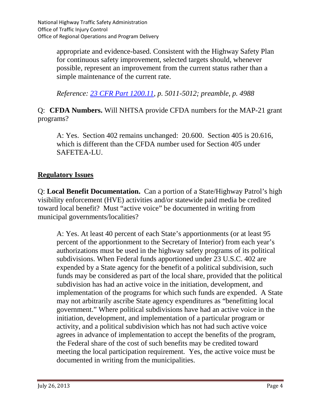appropriate and evidence-based. Consistent with the Highway Safety Plan for continuous safety improvement, selected targets should, whenever possible, represent an improvement from the current status rather than a simple maintenance of the current rate.

*Reference: 23 [CFR Part 1200.11,](http://www.ecfr.gov/cgi-bin/text-idx?c=ecfr&rgn=div5&view=text&node=23:1.0.2.13.1&idno=23#23:1.0.2.13.1.2.1.2) p. 5011-5012; preamble, p. 4988*

Q: **CFDA Numbers.** Will NHTSA provide CFDA numbers for the MAP-21 grant programs?

A: Yes. Section 402 remains unchanged: 20.600. Section 405 is 20.616, which is different than the CFDA number used for Section 405 under SAFETEA-LU.

## **Regulatory Issues**

Q: **Local Benefit Documentation.** Can a portion of a State/Highway Patrol's high visibility enforcement (HVE) activities and/or statewide paid media be credited toward local benefit? Must "active voice" be documented in writing from municipal governments/localities?

A: Yes. At least 40 percent of each State's apportionments (or at least 95 percent of the apportionment to the Secretary of Interior) from each year's authorizations must be used in the highway safety programs of its political subdivisions. When Federal funds apportioned under 23 U.S.C. 402 are expended by a State agency for the benefit of a political subdivision, such funds may be considered as part of the local share, provided that the political subdivision has had an active voice in the initiation, development, and implementation of the programs for which such funds are expended. A State may not arbitrarily ascribe State agency expenditures as "benefitting local government." Where political subdivisions have had an active voice in the initiation, development, and implementation of a particular program or activity, and a political subdivision which has not had such active voice agrees in advance of implementation to accept the benefits of the program, the Federal share of the cost of such benefits may be credited toward meeting the local participation requirement. Yes, the active voice must be documented in writing from the municipalities.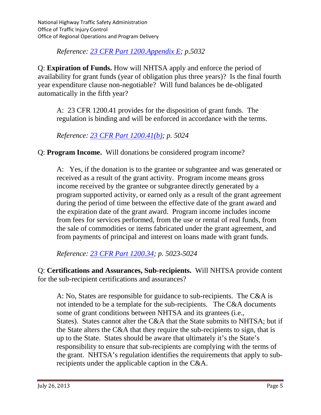*Reference: [23 CFR Part 1200.Appendix E;](http://www.ecfr.gov/cgi-bin/text-idx?c=ecfr&rgn=div5&view=text&node=23:1.0.2.13.1&idno=23#23:1.0.2.13.1.7.1.4.37) p.5032*

Q: **Expiration of Funds.** How will NHTSA apply and enforce the period of availability for grant funds (year of obligation plus three years)? Is the final fourth year expenditure clause non-negotiable? Will fund balances be de-obligated automatically in the fifth year?

A: 23 CFR 1200.41 provides for the disposition of grant funds. The regulation is binding and will be enforced in accordance with the terms.

*Reference: [23 CFR Part 1200.41\(b\);](http://www.ecfr.gov/cgi-bin/text-idx?c=ecfr&rgn=div5&view=text&node=23:1.0.2.13.1&idno=23#23:1.0.2.13.1.5.1.2) p. 5024*

Q: **Program Income.** Will donations be considered program income?

A: Yes, if the donation is to the grantee or subgrantee and was generated or received as a result of the grant activity. Program income means gross income received by the grantee or subgrantee directly generated by a program supported activity, or earned only as a result of the grant agreement during the period of time between the effective date of the grant award and the expiration date of the grant award. Program income includes income from fees for services performed, from the use or rental of real funds, from the sale of commodities or items fabricated under the grant agreement, and from payments of principal and interest on loans made with grant funds.

*Reference: 23 [CFR Part 1200.34;](http://www.ecfr.gov/cgi-bin/text-idx?c=ecfr&rgn=div5&view=text&node=23:1.0.2.13.1&idno=23#23:1.0.2.13.1.3.1.4) p. 5023-5024*

Q: **Certifications and Assurances, Sub-recipients.** Will NHTSA provide content for the sub-recipient certifications and assurances?

A: No, States are responsible for guidance to sub-recipients. The C&A is not intended to be a template for the sub-recipients. The C&A documents some of grant conditions between NHTSA and its grantees (i.e., States). States cannot alter the C&A that the State submits to NHTSA; but if the State alters the C&A that they require the sub-recipients to sign, that is up to the State. States should be aware that ultimately it's the State's responsibility to ensure that sub-recipients are complying with the terms of the grant. NHTSA's regulation identifies the requirements that apply to subrecipients under the applicable caption in the C&A.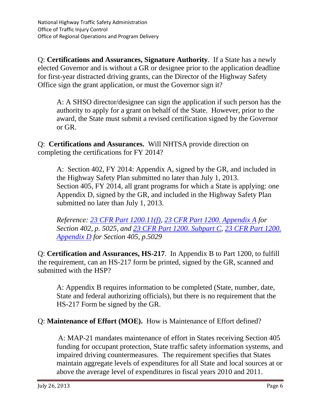Q: **Certifications and Assurances, Signature Authority**. If a State has a newly elected Governor and is without a GR or designee prior to the application deadline for first-year distracted driving grants, can the Director of the Highway Safety Office sign the grant application, or must the Governor sign it?

A: A SHSO director/designee can sign the application if such person has the authority to apply for a grant on behalf of the State. However, prior to the award, the State must submit a revised certification signed by the Governor or GR.

Q: **Certifications and Assurances.** Will NHTSA provide direction on completing the certifications for FY 2014?

A: Section 402, FY 2014: Appendix A, signed by the GR, and included in the Highway Safety Plan submitted no later than July 1, 2013. Section 405, FY 2014, all grant programs for which a State is applying: one Appendix D, signed by the GR, and included in the Highway Safety Plan submitted no later than July 1, 2013.

*Reference: [23 CFR Part 1200.11\(f\),](http://www.ecfr.gov/cgi-bin/text-idx?c=ecfr&rgn=div5&view=text&node=23:1.0.2.13.1&idno=23#23:1.0.2.13.1.2.1.2) [23 CFR Part 1200. Appendix A](http://www.ecfr.gov/cgi-bin/text-idx?c=ecfr&rgn=div5&view=text&node=23:1.0.2.13.1&idno=23#23:1.0.2.13.1.7.1.4.33) for Section 402, p. 5025, and 23 CFR [Part 1200.](http://www.ecfr.gov/cgi-bin/text-idx?c=ecfr&rgn=div5&view=text&node=23:1.0.2.13.1&idno=23#23:1.0.2.13.1.3) Subpart C, [23 CFR Part 1200.](http://www.ecfr.gov/cgi-bin/text-idx?c=ecfr&rgn=div5&view=text&node=23:1.0.2.13.1&idno=23#23:1.0.2.13.1.4)  [Appendix D](http://www.ecfr.gov/cgi-bin/text-idx?c=ecfr&rgn=div5&view=text&node=23:1.0.2.13.1&idno=23#23:1.0.2.13.1.4) for Section 405, p.5029*

Q: **Certification and Assurances, HS-217**. In Appendix B to Part 1200, to fulfill the requirement, can an HS-217 form be printed, signed by the GR, scanned and submitted with the HSP?

A: Appendix B requires information to be completed (State, number, date, State and federal authorizing officials), but there is no requirement that the HS-217 Form be signed by the GR.

#### Q: **Maintenance of Effort (MOE).** How is Maintenance of Effort defined?

A: MAP-21 mandates maintenance of effort in States receiving Section 405 funding for occupant protection, State traffic safety information systems, and impaired driving countermeasures. The requirement specifies that States maintain aggregate levels of expenditures for all State and local sources at or above the average level of expenditures in fiscal years 2010 and 2011.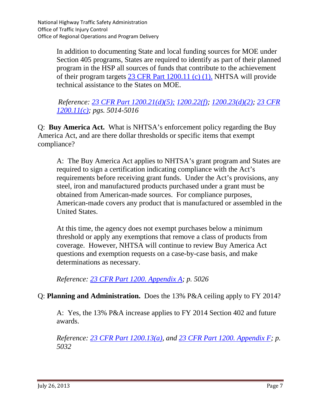In addition to documenting State and local funding sources for MOE under Section 405 programs, States are required to identify as part of their planned program in the HSP all sources of funds that contribute to the achievement of their program targets [23 CFR Part 1200.11 \(c\) \(1\).](http://www.ecfr.gov/cgi-bin/text-idx?c=ecfr&rgn=div5&view=text&node=23:1.0.2.13.1&idno=23#23:1.0.2.13.1.2.1.2) NHTSA will provide technical assistance to the States on MOE.

*Reference: 23 CFR Part [1200.21\(d\)\(5\);](http://www.ecfr.gov/cgi-bin/text-idx?c=ecfr&rgn=div5&view=text&node=23:1.0.2.13.1&idno=23#23:1.0.2.13.1.3.1.2) [1200.22\(f\);](http://www.ecfr.gov/cgi-bin/text-idx?c=ecfr&rgn=div5&view=text&node=23:1.0.2.13.1&idno=23#23:1.0.2.13.1.3.1.3) [1200.23\(d\)\(2\);](http://www.ecfr.gov/cgi-bin/text-idx?c=ecfr&rgn=div5&view=text&node=23:1.0.2.13.1&idno=23#23:1.0.2.13.1.3.1.4) [23 CFR](http://www.ecfr.gov/cgi-bin/text-idx?c=ecfr&rgn=div5&view=text&node=23:1.0.2.13.1&idno=23#23:1.0.2.13.1.2.1.2)  [1200.11\(c\);](http://www.ecfr.gov/cgi-bin/text-idx?c=ecfr&rgn=div5&view=text&node=23:1.0.2.13.1&idno=23#23:1.0.2.13.1.2.1.2) pgs. 5014-5016*

Q: **Buy America Act.** What is NHTSA's enforcement policy regarding the Buy America Act, and are there dollar thresholds or specific items that exempt compliance?

A: The Buy America Act applies to NHTSA's grant program and States are required to sign a certification indicating compliance with the Act's requirements before receiving grant funds. Under the Act's provisions, any steel, iron and manufactured products purchased under a grant must be obtained from American-made sources. For compliance purposes, American-made covers any product that is manufactured or assembled in the United States.

At this time, the agency does not exempt purchases below a minimum threshold or apply any exemptions that remove a class of products from coverage. However, NHTSA will continue to review Buy America Act questions and exemption requests on a case-by-case basis, and make determinations as necessary.

*Reference: [23 CFR Part 1200. Appendix A;](http://www.ecfr.gov/cgi-bin/text-idx?c=ecfr&rgn=div5&view=text&node=23:1.0.2.13.1&idno=23#23:1.0.2.13.1.7.1.4.33) p. 5026*

#### Q: **Planning and Administration.** Does the 13% P&A ceiling apply to FY 2014?

A: Yes, the 13% P&A increase applies to FY 2014 Section 402 and future awards.

*Reference: [23 CFR Part 1200.13\(a\),](http://www.ecfr.gov/cgi-bin/text-idx?c=ecfr&rgn=div5&view=text&node=23:1.0.2.13.1&idno=23#23:1.0.2.13.1.2.1.4) and [23 CFR Part 1200. Appendix F;](http://www.ecfr.gov/cgi-bin/text-idx?c=ecfr&rgn=div5&view=text&node=23:1.0.2.13.1&idno=23#23:1.0.2.13.1.7.1.4.38) p. 5032*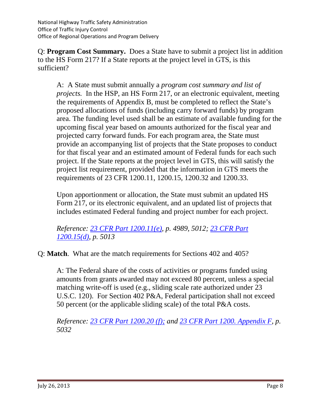Q: **Program Cost Summary.** Does a State have to submit a project list in addition to the HS Form 217? If a State reports at the project level in GTS, is this sufficient?

A: A State must submit annually a *program cost summary and list of projects.* In the HSP, an HS Form 217, or an electronic equivalent, meeting the requirements of Appendix B, must be completed to reflect the State's proposed allocations of funds (including carry forward funds) by program area. The funding level used shall be an estimate of available funding for the upcoming fiscal year based on amounts authorized for the fiscal year and projected carry forward funds. For each program area, the State must provide an accompanying list of projects that the State proposes to conduct for that fiscal year and an estimated amount of Federal funds for each such project. If the State reports at the project level in GTS, this will satisfy the project list requirement, provided that the information in GTS meets the requirements of 23 CFR 1200.11, 1200.15, 1200.32 and 1200.33.

Upon apportionment or allocation, the State must submit an updated HS Form 217, or its electronic equivalent, and an updated list of projects that includes estimated Federal funding and project number for each project.

*Reference: [23 CFR Part 1200.11\(e\),](http://www.ecfr.gov/cgi-bin/text-idx?c=ecfr&rgn=div5&view=text&node=23:1.0.2.13.1&idno=23#23:1.0.2.13.1.2.1.2) p. 4989, 5012; [23 CFR Part](http://www.ecfr.gov/cgi-bin/text-idx?c=ecfr&rgn=div5&view=text&node=23:1.0.2.13.1&idno=23#23:1.0.2.13.1.2.1.6)  [1200.15\(d\),](http://www.ecfr.gov/cgi-bin/text-idx?c=ecfr&rgn=div5&view=text&node=23:1.0.2.13.1&idno=23#23:1.0.2.13.1.2.1.6) p. 5013*

Q: **Match**. What are the match requirements for Sections 402 and 405?

A: The Federal share of the costs of activities or programs funded using amounts from grants awarded may not exceed 80 percent, unless a special matching write-off is used (e.g., sliding scale rate authorized under 23 U.S.C. 120). For Section 402 P&A, Federal participation shall not exceed 50 percent (or the applicable sliding scale) of the total P&A costs.

*Reference: [23 CFR Part 1200.20 \(f\);](http://www.ecfr.gov/cgi-bin/text-idx?c=ecfr&rgn=div5&view=text&node=23:1.0.2.13.1&idno=23#23:1.0.2.13.1.3.1.1) and [23 CFR Part 1200. Appendix F,](http://www.ecfr.gov/cgi-bin/text-idx?c=ecfr&rgn=div5&view=text&node=23:1.0.2.13.1&idno=23#23:1.0.2.13.1.7.1.4.38) p. 5032*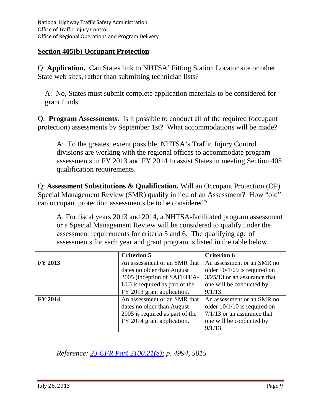#### **Section 405(b) Occupant Protection**

Q: **Application.** Can States link to NHTSA' Fitting Station Locator site or other State web sites, rather than submitting technician lists?

A: No, States must submit complete application materials to be considered for grant funds.

Q: **Program Assessments.** Is it possible to conduct all of the required (occupant protection) assessments by September 1st? What accommodations will be made?

A: To the greatest extent possible, NHTSA's Traffic Injury Control divisions are working with the regional offices to accommodate program assessments in FY 2013 and FY 2014 to assist States in meeting Section 405 qualification requirements.

Q: **Assessment Substitutions & Qualification.** Will an Occupant Protection (OP) Special Management Review (SMR) qualify in lieu of an Assessment? How "old" can occupant protection assessments be to be considered?

A: For fiscal years 2013 and 2014, a NHTSA-facilitated program assessment or a Special Management Review will be considered to qualify under the assessment requirements for criteria 5 and 6. The qualifying age of assessments for each year and grant program is listed in the table below.

|                | <b>Criterion 5</b>              | <b>Criterion 6</b>             |
|----------------|---------------------------------|--------------------------------|
| <b>FY 2013</b> | An assessment or an SMR that    | An assessment or an SMR no     |
|                | dates no older than August      | older $10/1/09$ is required on |
|                | 2005 (inception of SAFETEA-     | $3/25/13$ or an assurance that |
|                | LU) is required as part of the  | one will be conducted by       |
|                | FY 2013 grant application.      | $9/1/13$ .                     |
| <b>FY 2014</b> | An assessment or an SMR that    | An assessment or an SMR no     |
|                | dates no older than August      | older $10/1/10$ is required on |
|                | 2005 is required as part of the | $7/1/13$ or an assurance that  |
|                | FY 2014 grant application.      | one will be conducted by       |
|                |                                 | $9/1/13$ .                     |

*Reference: [23 CFR Part 2100.21\(e\);](http://www.ecfr.gov/cgi-bin/text-idx?c=ecfr&rgn=div5&view=text&node=23:1.0.2.13.1&idno=23#23:1.0.2.13.1.3.1.2) p. 4994, 5015*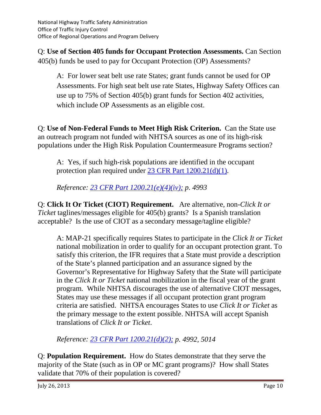Q: **Use of Section 405 funds for Occupant Protection Assessments.** Can Section 405(b) funds be used to pay for Occupant Protection (OP) Assessments?

A: For lower seat belt use rate States; grant funds cannot be used for OP Assessments. For high seat belt use rate States, Highway Safety Offices can use up to 75% of Section 405(b) grant funds for Section 402 activities, which include OP Assessments as an eligible cost.

Q: **Use of Non-Federal Funds to Meet High Risk Criterion.** Can the State use an outreach program not funded with NHTSA sources as one of its high-risk populations under the High Risk Population Countermeasure Programs section?

A: Yes, if such high-risk populations are identified in the occupant protection plan required under [23 CFR Part 1200.21\(d\)\(1\).](http://www.ecfr.gov/cgi-bin/text-idx?c=ecfr&rgn=div5&view=text&node=23:1.0.2.13.1&idno=23#23:1.0.2.13.1.3.1.2)

*Reference: [23 CFR Part 1200.21\(e\)\(4\)\(iv\);](http://www.ecfr.gov/cgi-bin/text-idx?c=ecfr&rgn=div5&view=text&node=23:1.0.2.13.1&idno=23#23:1.0.2.13.1.3.1.2) p. 4993* 

Q: **Click It Or Ticket (CIOT) Requirement.** Are alternative, non-*Click It or Ticket* taglines/messages eligible for 405(b) grants? Is a Spanish translation acceptable? Is the use of CIOT as a secondary message/tagline eligible?

A: MAP-21 specifically requires States to participate in the *Click It or Ticket*  national mobilization in order to qualify for an occupant protection grant. To satisfy this criterion, the IFR requires that a State must provide a description of the State's planned participation and an assurance signed by the Governor's Representative for Highway Safety that the State will participate in the *Click It or Ticket* national mobilization in the fiscal year of the grant program. While NHTSA discourages the use of alternative CIOT messages, States may use these messages if all occupant protection grant program criteria are satisfied. NHTSA encourages States to use *Click It or Ticket* as the primary message to the extent possible. NHTSA will accept Spanish translations of *Click It or Ticket*.

*Reference: [23 CFR Part 1200.21\(d\)\(2\);](http://www.ecfr.gov/cgi-bin/text-idx?c=ecfr&rgn=div5&view=text&node=23:1.0.2.13.1&idno=23#23:1.0.2.13.1.3.1.2) p. 4992, 5014*

Q: **Population Requirement.** How do States demonstrate that they serve the majority of the State (such as in OP or MC grant programs)? How shall States validate that 70% of their population is covered?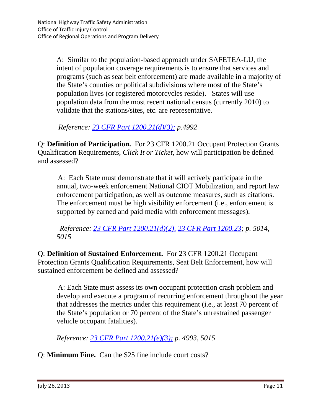A: Similar to the population-based approach under SAFETEA-LU, the intent of population coverage requirements is to ensure that services and programs (such as seat belt enforcement) are made available in a majority of the State's counties or political subdivisions where most of the State's population lives (or registered motorcycles reside). States will use population data from the most recent national census (currently 2010) to validate that the stations/sites, etc. are representative.

*Reference: [23 CFR Part 1200.21\(d\)\(3\);](http://www.ecfr.gov/cgi-bin/text-idx?c=ecfr&rgn=div5&view=text&node=23:1.0.2.13.1&idno=23#23:1.0.2.13.1.3.1.2) p.4992*

Q: **Definition of Participation.** For 23 CFR 1200.21 Occupant Protection Grants Qualification Requirements, *Click It or Ticket*, how will participation be defined and assessed?

A: Each State must demonstrate that it will actively participate in the annual, two-week enforcement National CIOT Mobilization, and report law enforcement participation, as well as outcome measures, such as citations. The enforcement must be high visibility enforcement (i.e., enforcement is supported by earned and paid media with enforcement messages).

*Reference: [23 CFR Part 1200.21\(d\)\(2\),](http://www.ecfr.gov/cgi-bin/text-idx?c=ecfr&rgn=div5&view=text&node=23:1.0.2.13.1&idno=23#23:1.0.2.13.1.3.1.2) [23 CFR Part 1200.23;](http://www.ecfr.gov/cgi-bin/text-idx?c=ecfr&rgn=div5&view=text&node=23:1.0.2.13.1&idno=23#23:1.0.2.13.1.3.1.4) p. 5014, 5015*

Q: **Definition of Sustained Enforcement.** For 23 CFR 1200.21 Occupant Protection Grants Qualification Requirements, Seat Belt Enforcement, how will sustained enforcement be defined and assessed?

A: Each State must assess its own occupant protection crash problem and develop and execute a program of recurring enforcement throughout the year that addresses the metrics under this requirement (i.e., at least 70 percent of the State's population or 70 percent of the State's unrestrained passenger vehicle occupant fatalities).

*Reference: [23 CFR Part 1200.21\(e\)\(3\);](http://www.ecfr.gov/cgi-bin/text-idx?c=ecfr&rgn=div5&view=text&node=23:1.0.2.13.1&idno=23#23:1.0.2.13.1.3.1.2) p. 4993, 5015*

Q: **Minimum Fine.** Can the \$25 fine include court costs?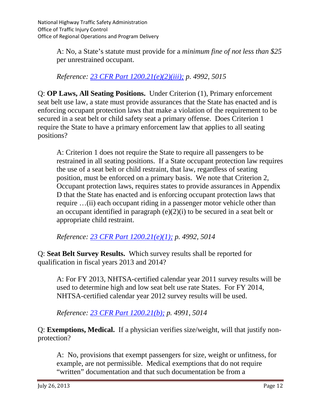A: No, a State's statute must provide for a *minimum fine of not less than \$25* per unrestrained occupant.

*Reference: 23 CFR Part [1200.21\(e\)\(2\)\(iii\);](http://www.ecfr.gov/cgi-bin/text-idx?c=ecfr&rgn=div5&view=text&node=23:1.0.2.13.1&idno=23#23:1.0.2.13.1.3.1.2) p. 4992, 5015*

Q: **OP Laws, All Seating Positions.** Under Criterion (1), Primary enforcement seat belt use law, a state must provide assurances that the State has enacted and is enforcing occupant protection laws that make a violation of the requirement to be secured in a seat belt or child safety seat a primary offense. Does Criterion 1 require the State to have a primary enforcement law that applies to all seating positions?

A: Criterion 1 does not require the State to require all passengers to be restrained in all seating positions. If a State occupant protection law requires the use of a seat belt or child restraint, that law, regardless of seating position, must be enforced on a primary basis. We note that Criterion 2, Occupant protection laws, requires states to provide assurances in Appendix D that the State has enacted and is enforcing occupant protection laws that require …(ii) each occupant riding in a passenger motor vehicle other than an occupant identified in paragraph (e)(2)(i) to be secured in a seat belt or appropriate child restraint.

*Reference: 23 CFR Part [1200.21\(e\)\(1\);](http://www.ecfr.gov/cgi-bin/text-idx?c=ecfr&rgn=div5&view=text&node=23:1.0.2.13.1&idno=23#23:1.0.2.13.1.3.1.2) p. 4992, 5014*

Q: **Seat Belt Survey Results.** Which survey results shall be reported for qualification in fiscal years 2013 and 2014?

A: For FY 2013, NHTSA-certified calendar year 2011 survey results will be used to determine high and low seat belt use rate States. For FY 2014, NHTSA-certified calendar year 2012 survey results will be used.

*Reference: [23 CFR Part 1200.21\(b\);](http://www.ecfr.gov/cgi-bin/text-idx?c=ecfr&rgn=div5&view=text&node=23:1.0.2.13.1&idno=23#23:1.0.2.13.1.3.1.2) p. 4991, 5014*

Q: **Exemptions, Medical.** If a physician verifies size/weight, will that justify nonprotection?

A: No, provisions that exempt passengers for size, weight or unfitness, for example, are not permissible. Medical exemptions that do not require "written" documentation and that such documentation be from a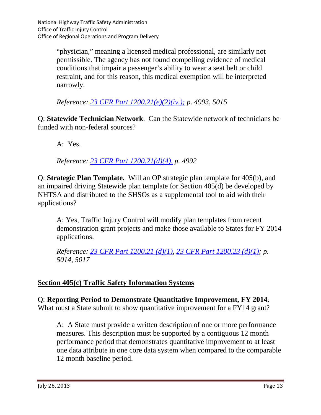"physician," meaning a licensed medical professional, are similarly not permissible. The agency has not found compelling evidence of medical conditions that impair a passenger's ability to wear a seat belt or child restraint, and for this reason, this medical exemption will be interpreted narrowly.

*Reference: [23 CFR Part 1200.21\(e\)\(2\)\(iv.\);](http://www.ecfr.gov/cgi-bin/text-idx?c=ecfr&rgn=div5&view=text&node=23:1.0.2.13.1&idno=23#23:1.0.2.13.1.3.1.2) p. 4993, 5015*

Q: **Statewide Technician Network**. Can the Statewide network of technicians be funded with non-federal sources?

A: Yes.

*Reference: 23 CFR Part [1200.21\(d\)\(4\),](http://www.ecfr.gov/cgi-bin/text-idx?c=ecfr&rgn=div5&view=text&node=23:1.0.2.13.1&idno=23#23:1.0.2.13.1.3.1.2) p. 4992*

Q: **Strategic Plan Template.** Will an OP strategic plan template for 405(b), and an impaired driving Statewide plan template for Section 405(d) be developed by NHTSA and distributed to the SHSOs as a supplemental tool to aid with their applications?

A: Yes, Traffic Injury Control will modify plan templates from recent demonstration grant projects and make those available to States for FY 2014 applications.

*Reference: [23 CFR Part 1200.21 \(d\)\(1\),](http://www.ecfr.gov/cgi-bin/text-idx?c=ecfr&rgn=div5&view=text&node=23:1.0.2.13.1&idno=23#23:1.0.2.13.1.3.1.2) [23 CFR Part 1200.23 \(d\)\(1\);](http://www.ecfr.gov/cgi-bin/text-idx?c=ecfr&rgn=div5&view=text&node=23:1.0.2.13.1&idno=23#23:1.0.2.13.1.3.1.4) p. 5014, 5017*

## **Section 405(c) Traffic Safety Information Systems**

Q: **Reporting Period to Demonstrate Quantitative Improvement, FY 2014.**  What must a State submit to show quantitative improvement for a FY14 grant?

A: A State must provide a written description of one or more performance measures. This description must be supported by a contiguous 12 month performance period that demonstrates quantitative improvement to at least one data attribute in one core data system when compared to the comparable 12 month baseline period.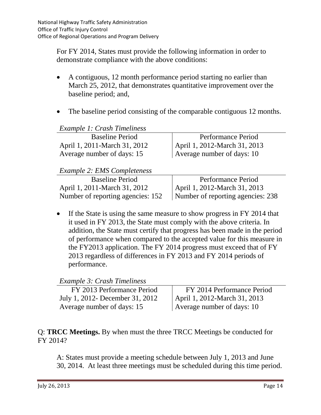For FY 2014, States must provide the following information in order to demonstrate compliance with the above conditions:

- A contiguous, 12 month performance period starting no earlier than March 25, 2012, that demonstrates quantitative improvement over the baseline period; and,
- The baseline period consisting of the comparable contiguous 12 months.

| Performance Period           |
|------------------------------|
| April 1, 2012-March 31, 2013 |
| Average number of days: 10   |
|                              |
|                              |
| Performance Period           |
|                              |

| P(1)                                                                      | T CHOMMODE T CHOG                 |
|---------------------------------------------------------------------------|-----------------------------------|
| April 1, 2011-March 31, 2012                                              | April 1, 2012-March 31, 2013      |
| Number of reporting agencies: 152                                         | Number of reporting agencies: 238 |
|                                                                           |                                   |
| • If the State is using the same measure to show progress in FY 2014 that |                                   |

If the State is using the same measure to show progress in FY 2014 that it used in FY 2013, the State must comply with the above criteria. In addition, the State must certify that progress has been made in the period of performance when compared to the accepted value for this measure in the FY2013 application. The FY 2014 progress must exceed that of FY 2013 regardless of differences in FY 2013 and FY 2014 periods of performance.

*Example 3: Crash Timeliness*

| FY 2013 Performance Period      | FY 2014 Performance Period   |
|---------------------------------|------------------------------|
| July 1, 2012- December 31, 2012 | April 1, 2012-March 31, 2013 |
| Average number of days: 15      | Average number of days: 10   |

Q: **TRCC Meetings.** By when must the three TRCC Meetings be conducted for FY 2014?

A: States must provide a meeting schedule between July 1, 2013 and June 30, 2014. At least three meetings must be scheduled during this time period.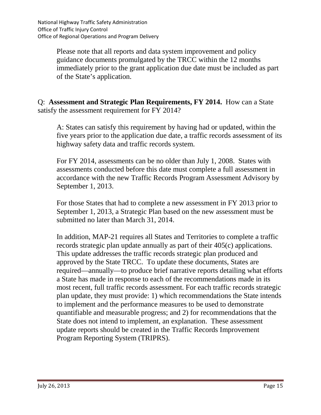Please note that all reports and data system improvement and policy guidance documents promulgated by the TRCC within the 12 months immediately prior to the grant application due date must be included as part of the State's application.

Q: **Assessment and Strategic Plan Requirements, FY 2014.** How can a State satisfy the assessment requirement for FY 2014?

A: States can satisfy this requirement by having had or updated, within the five years prior to the application due date, a traffic records assessment of its highway safety data and traffic records system.

For FY 2014, assessments can be no older than July 1, 2008. States with assessments conducted before this date must complete a full assessment in accordance with the new Traffic Records Program Assessment Advisory by September 1, 2013.

For those States that had to complete a new assessment in FY 2013 prior to September 1, 2013, a Strategic Plan based on the new assessment must be submitted no later than March 31, 2014.

In addition, MAP-21 requires all States and Territories to complete a traffic records strategic plan update annually as part of their 405(c) applications. This update addresses the traffic records strategic plan produced and approved by the State TRCC. To update these documents, States are required—annually—to produce brief narrative reports detailing what efforts a State has made in response to each of the recommendations made in its most recent, full traffic records assessment. For each traffic records strategic plan update, they must provide: 1) which recommendations the State intends to implement and the performance measures to be used to demonstrate quantifiable and measurable progress; and 2) for recommendations that the State does not intend to implement, an explanation. These assessment update reports should be created in the Traffic Records Improvement Program Reporting System (TRIPRS).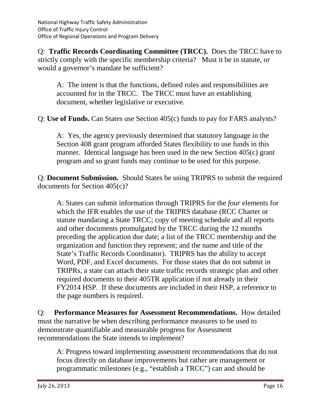Q: **Traffic Records Coordinating Committee (TRCC).** Does the TRCC have to strictly comply with the specific membership criteria? Must it be in statute, or would a governor's mandate be sufficient?

A: The intent is that the functions, defined roles and responsibilities are accounted for in the TRCC. The TRCC must have an establishing document, whether legislative or executive.

Q: **Use of Funds.** Can States use Section 405(c) funds to pay for FARS analysts?

A: Yes, the agency previously determined that statutory language in the Section 408 grant program afforded States flexibility to use funds in this manner. Identical language has been used in the new Section 405(c) grant program and so grant funds may continue to be used for this purpose.

Q: **Document Submission.** Should States be using TRIPRS to submit the required documents for Section 405(c)?

A: States can submit information through TRIPRS for the *four* elements for which the IFR enables the use of the TRIPRS database (RCC Charter or statute mandating a State TRCC; copy of meeting schedule and all reports and other documents promulgated by the TRCC during the 12 months preceding the application due date; a list of the TRCC membership and the organization and function they represent; and the name and title of the State's Traffic Records Coordinator). TRIPRS has the ability to accept Word, PDF, and Excel documents. For those states that do not submit in TRIPRs, a state can attach their state traffic records strategic plan and other required documents to their 405TR application if not already in their FY2014 HSP. If these documents are included in their HSP, a reference to the page numbers is required.

Q: **Performance Measures for Assessment Recommendations.** How detailed must the narrative be when describing performance measures to be used to demonstrate quantifiable and measurable progress for Assessment recommendations the State intends to implement?

A: Progress toward implementing assessment recommendations that do not focus directly on database improvements but rather are management or programmatic milestones (e.g., "establish a TRCC") can and should be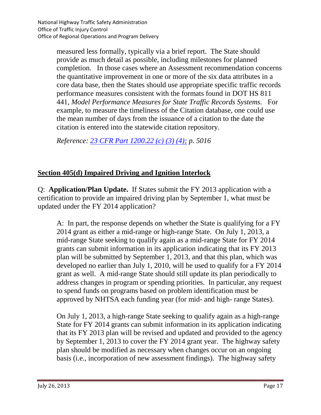measured less formally, typically via a brief report. The State should provide as much detail as possible, including milestones for planned completion. In those cases where an Assessment recommendation concerns the quantitative improvement in one or more of the six data attributes in a core data base, then the States should use appropriate specific traffic records performance measures consistent with the formats found in DOT HS 811 441, *Model Performance Measures for State Traffic Records Systems.* For example, to measure the timeliness of the Citation database, one could use the mean number of days from the issuance of a citation to the date the citation is entered into the statewide citation repository.

*Reference: 23 CFR [Part 1200.22 \(c\) \(3\) \(4\);](http://www.ecfr.gov/cgi-bin/text-idx?c=ecfr&rgn=div5&view=text&node=23:1.0.2.13.1&idno=23#23:1.0.2.13.1.3.1.3) p. 5016*

### **Section 405(d) Impaired Driving and Ignition Interlock**

Q: **Application/Plan Update.** If States submit the FY 2013 application with a certification to provide an impaired driving plan by September 1, what must be updated under the FY 2014 application?

A: In part, the response depends on whether the State is qualifying for a FY 2014 grant as either a mid-range or high-range State. On July 1, 2013, a mid-range State seeking to qualify again as a mid-range State for FY 2014 grants can submit information in its application indicating that its FY 2013 plan will be submitted by September 1, 2013, and that this plan, which was developed no earlier than July 1, 2010, will be used to qualify for a FY 2014 grant as well. A mid-range State should still update its plan periodically to address changes in program or spending priorities. In particular, any request to spend funds on programs based on problem identification must be approved by NHTSA each funding year (for mid- and high- range States).

On July 1, 2013, a high-range State seeking to qualify again as a high-range State for FY 2014 grants can submit information in its application indicating that its FY 2013 plan will be revised and updated and provided to the agency by September 1, 2013 to cover the FY 2014 grant year. The highway safety plan should be modified as necessary when changes occur on an ongoing basis (i.e., incorporation of new assessment findings). The highway safety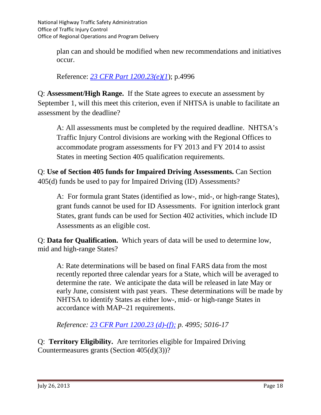plan can and should be modified when new recommendations and initiatives occur.

Reference: *[23 CFR Part 1200.23\(e\)\(1](http://www.ecfr.gov/cgi-bin/text-idx?c=ecfr&rgn=div5&view=text&node=23:1.0.2.13.1&idno=23#23:1.0.2.13.1.3.1.4)*); p.4996

Q: **Assessment/High Range.** If the State agrees to execute an assessment by September 1, will this meet this criterion, even if NHTSA is unable to facilitate an assessment by the deadline?

A: All assessments must be completed by the required deadline. NHTSA's Traffic Injury Control divisions are working with the Regional Offices to accommodate program assessments for FY 2013 and FY 2014 to assist States in meeting Section 405 qualification requirements.

Q: **Use of Section 405 funds for Impaired Driving Assessments.** Can Section 405(d) funds be used to pay for Impaired Driving (ID) Assessments?

A: For formula grant States (identified as low-, mid-, or high-range States), grant funds cannot be used for ID Assessments. For ignition interlock grant States, grant funds can be used for Section 402 activities, which include ID Assessments as an eligible cost.

Q: **Data for Qualification.** Which years of data will be used to determine low, mid and high-range States?

A: Rate determinations will be based on final FARS data from the most recently reported three calendar years for a State, which will be averaged to determine the rate. We anticipate the data will be released in late May or early June, consistent with past years. These determinations will be made by NHTSA to identify States as either low-, mid- or high-range States in accordance with MAP–21 requirements.

*Reference: [23 CFR Part 1200.23](http://www.ecfr.gov/cgi-bin/text-idx?c=ecfr&rgn=div5&view=text&node=23:1.0.2.13.1&idno=23#23:1.0.2.13.1.3.1.4) (d)-(f); p. 4995; 5016-17*

Q: **Territory Eligibility.** Are territories eligible for Impaired Driving Countermeasures grants (Section 405(d)(3))?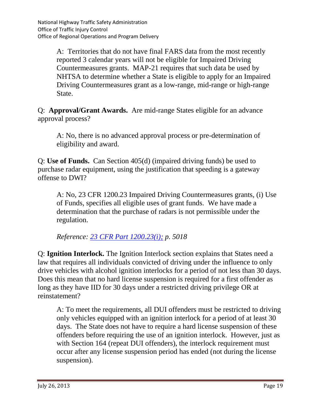A: Territories that do not have final FARS data from the most recently reported 3 calendar years will not be eligible for Impaired Driving Countermeasures grants. MAP-21 requires that such data be used by NHTSA to determine whether a State is eligible to apply for an Impaired Driving Countermeasures grant as a low-range, mid-range or high-range State.

Q: **Approval/Grant Awards.** Are mid-range States eligible for an advance approval process?

A: No, there is no advanced approval process or pre-determination of eligibility and award.

Q: **Use of Funds.** Can Section 405(d) (impaired driving funds) be used to purchase radar equipment, using the justification that speeding is a gateway offense to DWI?

A: No, 23 CFR 1200.23 Impaired Driving Countermeasures grants, (i) Use of Funds, specifies all eligible uses of grant funds. We have made a determination that the purchase of radars is not permissible under the regulation.

*Reference: [23 CFR Part 1200.23\(i\);](http://www.ecfr.gov/cgi-bin/text-idx?c=ecfr&rgn=div5&view=text&node=23:1.0.2.13.1&idno=23#23:1.0.2.13.1.3.1.4) p. 5018*

Q: **Ignition Interlock.** The Ignition Interlock section explains that States need a law that requires all individuals convicted of driving under the influence to only drive vehicles with alcohol ignition interlocks for a period of not less than 30 days. Does this mean that no hard license suspension is required for a first offender as long as they have IID for 30 days under a restricted driving privilege OR at reinstatement?

A: To meet the requirements, all DUI offenders must be restricted to driving only vehicles equipped with an ignition interlock for a period of at least 30 days. The State does not have to require a hard license suspension of these offenders before requiring the use of an ignition interlock. However, just as with Section 164 (repeat DUI offenders), the interlock requirement must occur after any license suspension period has ended (not during the license suspension).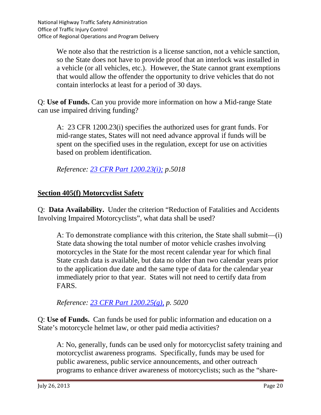We note also that the restriction is a license sanction, not a vehicle sanction, so the State does not have to provide proof that an interlock was installed in a vehicle (or all vehicles, etc.). However, the State cannot grant exemptions that would allow the offender the opportunity to drive vehicles that do not contain interlocks at least for a period of 30 days.

Q: **Use of Funds.** Can you provide more information on how a Mid-range State can use impaired driving funding?

A: 23 CFR 1200.23(i) specifies the authorized uses for grant funds. For mid-range states, States will not need advance approval if funds will be spent on the specified uses in the regulation, except for use on activities based on problem identification.

*Reference: [23 CFR Part 1200.23\(i\);](http://www.ecfr.gov/cgi-bin/text-idx?c=ecfr&rgn=div5&view=text&node=23:1.0.2.13.1&idno=23#23:1.0.2.13.1.3.1.4) p.5018*

#### **Section 405(f) Motorcyclist Safety**

Q: **Data Availability.** Under the criterion "Reduction of Fatalities and Accidents Involving Impaired Motorcyclists", what data shall be used?

A: To demonstrate compliance with this criterion, the State shall submit—(i) State data showing the total number of motor vehicle crashes involving motorcycles in the State for the most recent calendar year for which final State crash data is available, but data no older than two calendar years prior to the application due date and the same type of data for the calendar year immediately prior to that year. States will not need to certify data from FARS.

*Reference: 23 CFR Part [1200.25\(g\),](http://www.ecfr.gov/cgi-bin/text-idx?c=ecfr&rgn=div5&view=text&node=23:1.0.2.13.1&idno=23#23:1.0.2.13.1.3.1.6) p. 5020*

Q: **Use of Funds.** Can funds be used for public information and education on a State's motorcycle helmet law, or other paid media activities?

A: No, generally, funds can be used only for motorcyclist safety training and motorcyclist awareness programs. Specifically, funds may be used for public awareness, public service announcements, and other outreach programs to enhance driver awareness of motorcyclists; such as the "share-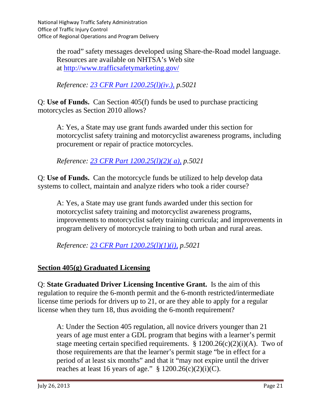the road" safety messages developed using Share-the-Road model language. Resources are available on NHTSA's Web site at<http://www.trafficsafetymarketing.gov/>

*Reference: [23 CFR Part 1200.25\(l\)\(iv.\),](http://www.ecfr.gov/cgi-bin/text-idx?c=ecfr&rgn=div5&view=text&node=23:1.0.2.13.1&idno=23#23:1.0.2.13.1.3.1.6) p.5021*

Q: **Use of Funds.** Can Section 405(f) funds be used to purchase practicing motorcycles as Section 2010 allows?

A: Yes, a State may use grant funds awarded under this section for motorcyclist safety training and motorcyclist awareness programs, including procurement or repair of practice motorcycles.

*Reference: 23 CFR Part [1200.25\(l\)\(2\)\( a\),](http://www.ecfr.gov/cgi-bin/text-idx?c=ecfr&rgn=div5&view=text&node=23:1.0.2.13.1&idno=23#23:1.0.2.13.1.3.1.6) p.5021*

Q: **Use of Funds.** Can the motorcycle funds be utilized to help develop data systems to collect, maintain and analyze riders who took a rider course?

A: Yes, a State may use grant funds awarded under this section for motorcyclist safety training and motorcyclist awareness programs, improvements to motorcyclist safety training curricula; and improvements in program delivery of motorcycle training to both urban and rural areas.

*Reference: [23 CFR Part 1200.25\(l\)\(1\)\(i\),](http://www.ecfr.gov/cgi-bin/text-idx?c=ecfr&rgn=div5&view=text&node=23:1.0.2.13.1&idno=23#23:1.0.2.13.1.3.1.6) p.5021*

## **Section 405(g) Graduated Licensing**

Q: **State Graduated Driver Licensing Incentive Grant.** Is the aim of this regulation to require the 6-month permit and the 6-month restricted/intermediate license time periods for drivers up to 21, or are they able to apply for a regular license when they turn 18, thus avoiding the 6-month requirement?

A: Under the Section 405 regulation, all novice drivers younger than 21 years of age must enter a GDL program that begins with a learner's permit stage meeting certain specified requirements.  $\S 1200.26(c)(2)(i)(A)$ . Two of those requirements are that the learner's permit stage "be in effect for a period of at least six months" and that it "may not expire until the driver reaches at least 16 years of age."  $\S$  1200.26(c)(2)(i)(C).